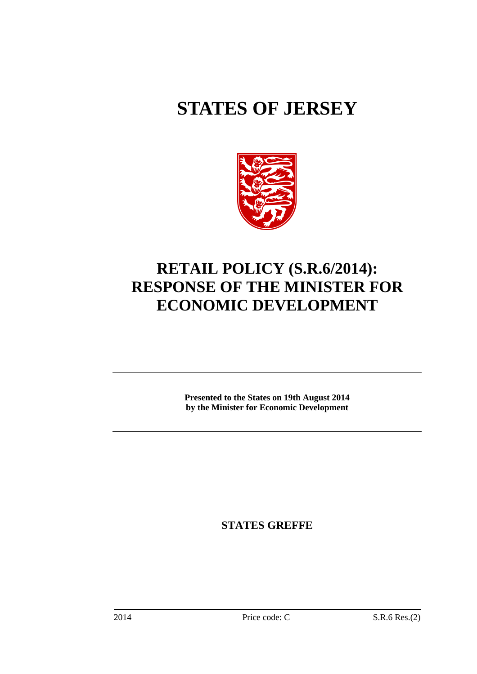# **STATES OF JERSEY**



## **RETAIL POLICY (S.R.6/2014): RESPONSE OF THE MINISTER FOR ECONOMIC DEVELOPMENT**

**Presented to the States on 19th August 2014 by the Minister for Economic Development** 

**STATES GREFFE**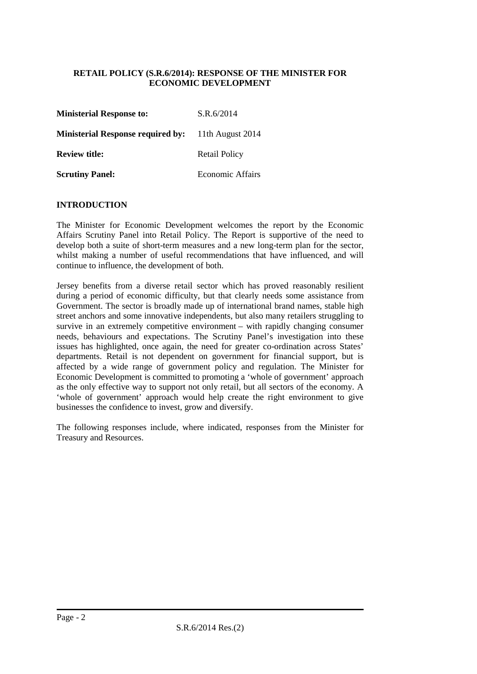#### **RETAIL POLICY (S.R.6/2014): RESPONSE OF THE MINISTER FOR ECONOMIC DEVELOPMENT**

| <b>Ministerial Response to:</b>          | S.R.6/2014              |
|------------------------------------------|-------------------------|
| <b>Ministerial Response required by:</b> | 11th August 2014        |
| <b>Review title:</b>                     | Retail Policy           |
| <b>Scrutiny Panel:</b>                   | <b>Economic Affairs</b> |

#### **INTRODUCTION**

The Minister for Economic Development welcomes the report by the Economic Affairs Scrutiny Panel into Retail Policy. The Report is supportive of the need to develop both a suite of short-term measures and a new long-term plan for the sector, whilst making a number of useful recommendations that have influenced, and will continue to influence, the development of both.

Jersey benefits from a diverse retail sector which has proved reasonably resilient during a period of economic difficulty, but that clearly needs some assistance from Government. The sector is broadly made up of international brand names, stable high street anchors and some innovative independents, but also many retailers struggling to survive in an extremely competitive environment – with rapidly changing consumer needs, behaviours and expectations. The Scrutiny Panel's investigation into these issues has highlighted, once again, the need for greater co-ordination across States' departments. Retail is not dependent on government for financial support, but is affected by a wide range of government policy and regulation. The Minister for Economic Development is committed to promoting a 'whole of government' approach as the only effective way to support not only retail, but all sectors of the economy. A 'whole of government' approach would help create the right environment to give businesses the confidence to invest, grow and diversify.

The following responses include, where indicated, responses from the Minister for Treasury and Resources.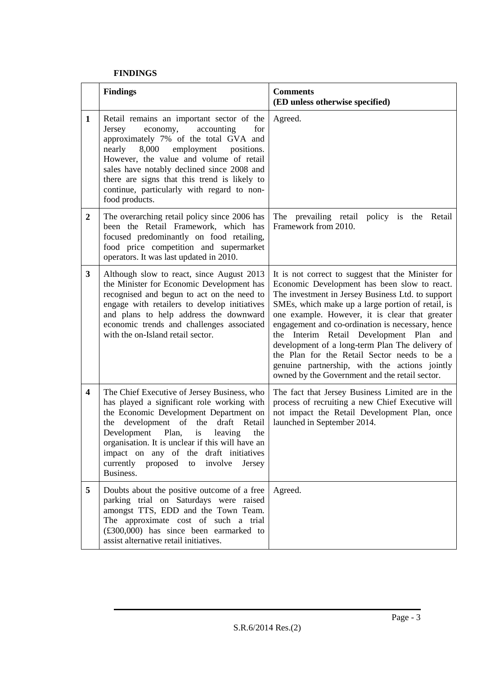#### **FINDINGS**

|                  | <b>Findings</b>                                                                                                                                                                                                                                                                                                                                                                                    | <b>Comments</b><br>(ED unless otherwise specified)                                                                                                                                                                                                                                                                                                                                                                                                                                                                                                                  |
|------------------|----------------------------------------------------------------------------------------------------------------------------------------------------------------------------------------------------------------------------------------------------------------------------------------------------------------------------------------------------------------------------------------------------|---------------------------------------------------------------------------------------------------------------------------------------------------------------------------------------------------------------------------------------------------------------------------------------------------------------------------------------------------------------------------------------------------------------------------------------------------------------------------------------------------------------------------------------------------------------------|
| 1                | Retail remains an important sector of the<br>Jersey<br>economy,<br>accounting<br>for<br>approximately 7% of the total GVA and<br>employment<br>nearly<br>8,000<br>positions.<br>However, the value and volume of retail<br>sales have notably declined since 2008 and<br>there are signs that this trend is likely to<br>continue, particularly with regard to non-<br>food products.              | Agreed.                                                                                                                                                                                                                                                                                                                                                                                                                                                                                                                                                             |
| $\boldsymbol{2}$ | The overarching retail policy since 2006 has<br>been the Retail Framework, which has<br>focused predominantly on food retailing,<br>food price competition and supermarket<br>operators. It was last updated in 2010.                                                                                                                                                                              | The prevailing retail policy is the Retail<br>Framework from 2010.                                                                                                                                                                                                                                                                                                                                                                                                                                                                                                  |
| 3                | Although slow to react, since August 2013<br>the Minister for Economic Development has<br>recognised and begun to act on the need to<br>engage with retailers to develop initiatives<br>and plans to help address the downward<br>economic trends and challenges associated<br>with the on-Island retail sector.                                                                                   | It is not correct to suggest that the Minister for<br>Economic Development has been slow to react.<br>The investment in Jersey Business Ltd. to support<br>SMEs, which make up a large portion of retail, is<br>one example. However, it is clear that greater<br>engagement and co-ordination is necessary, hence<br>the Interim Retail Development Plan and<br>development of a long-term Plan The delivery of<br>the Plan for the Retail Sector needs to be a<br>genuine partnership, with the actions jointly<br>owned by the Government and the retail sector. |
| 4                | The Chief Executive of Jersey Business, who<br>has played a significant role working with<br>the Economic Development Department on<br>development of<br>the<br>draft<br>Retail<br>the<br>Development<br>Plan,<br>leaving<br>the<br>is<br>organisation. It is unclear if this will have an<br>impact on any of the draft initiatives<br>currently proposed<br>involve<br>to<br>Jersey<br>Business. | The fact that Jersey Business Limited are in the<br>process of recruiting a new Chief Executive will<br>not impact the Retail Development Plan, once<br>launched in September 2014.                                                                                                                                                                                                                                                                                                                                                                                 |
| 5                | Doubts about the positive outcome of a free<br>parking trial on Saturdays were raised<br>amongst TTS, EDD and the Town Team.<br>The approximate cost of such a trial<br>$(\text{\pounds}300,000)$ has since been earmarked to<br>assist alternative retail initiatives.                                                                                                                            | Agreed.                                                                                                                                                                                                                                                                                                                                                                                                                                                                                                                                                             |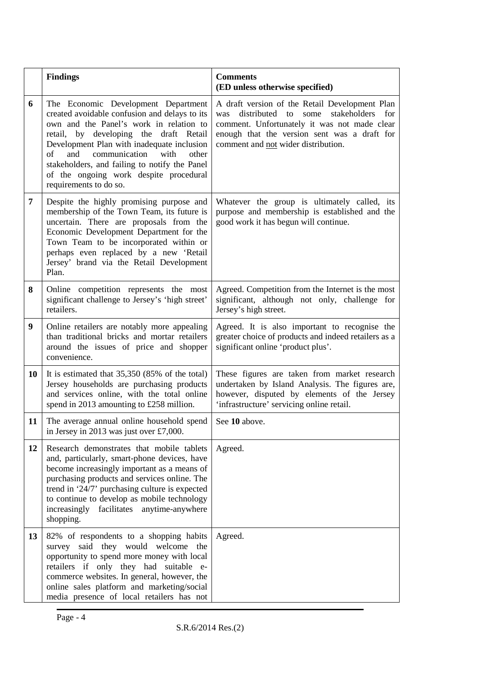|    | <b>Findings</b>                                                                                                                                                                                                                                                                                                                                                                                | <b>Comments</b><br>(ED unless otherwise specified)                                                                                                                                                                                               |
|----|------------------------------------------------------------------------------------------------------------------------------------------------------------------------------------------------------------------------------------------------------------------------------------------------------------------------------------------------------------------------------------------------|--------------------------------------------------------------------------------------------------------------------------------------------------------------------------------------------------------------------------------------------------|
| 6  | The Economic Development Department<br>created avoidable confusion and delays to its<br>own and the Panel's work in relation to<br>retail, by developing the<br>draft Retail<br>Development Plan with inadequate inclusion<br>communication<br>of<br>and<br>with<br>other<br>stakeholders, and failing to notify the Panel<br>of the ongoing work despite procedural<br>requirements to do so. | A draft version of the Retail Development Plan<br>distributed<br>stakeholders<br>for<br>was<br>to<br>some<br>comment. Unfortunately it was not made clear<br>enough that the version sent was a draft for<br>comment and not wider distribution. |
| 7  | Despite the highly promising purpose and<br>membership of the Town Team, its future is<br>uncertain. There are proposals from the<br>Economic Development Department for the<br>Town Team to be incorporated within or<br>perhaps even replaced by a new 'Retail<br>Jersey' brand via the Retail Development<br>Plan.                                                                          | Whatever the group is ultimately called, its<br>purpose and membership is established and the<br>good work it has begun will continue.                                                                                                           |
| 8  | Online competition represents the most<br>significant challenge to Jersey's 'high street'<br>retailers.                                                                                                                                                                                                                                                                                        | Agreed. Competition from the Internet is the most<br>significant, although not only, challenge for<br>Jersey's high street.                                                                                                                      |
| 9  | Online retailers are notably more appealing<br>than traditional bricks and mortar retailers<br>around the issues of price and shopper<br>convenience.                                                                                                                                                                                                                                          | Agreed. It is also important to recognise the<br>greater choice of products and indeed retailers as a<br>significant online 'product plus'.                                                                                                      |
| 10 | It is estimated that $35,350$ (85% of the total)<br>Jersey households are purchasing products<br>and services online, with the total online<br>spend in 2013 amounting to £258 million.                                                                                                                                                                                                        | These figures are taken from market research<br>undertaken by Island Analysis. The figures are,<br>however, disputed by elements of the Jersey<br>'infrastructure' servicing online retail.                                                      |
| 11 | The average annual online household spend<br>in Jersey in 2013 was just over £7,000.                                                                                                                                                                                                                                                                                                           | See 10 above.                                                                                                                                                                                                                                    |
| 12 | Research demonstrates that mobile tablets<br>and, particularly, smart-phone devices, have<br>become increasingly important as a means of<br>purchasing products and services online. The<br>trend in '24/7' purchasing culture is expected<br>to continue to develop as mobile technology<br>increasingly<br>facilitates anytime-anywhere<br>shopping.                                         | Agreed.                                                                                                                                                                                                                                          |
| 13 | 82% of respondents to a shopping habits<br>survey said they would welcome the<br>opportunity to spend more money with local<br>retailers if only they had suitable e-<br>commerce websites. In general, however, the<br>online sales platform and marketing/social<br>media presence of local retailers has not                                                                                | Agreed.                                                                                                                                                                                                                                          |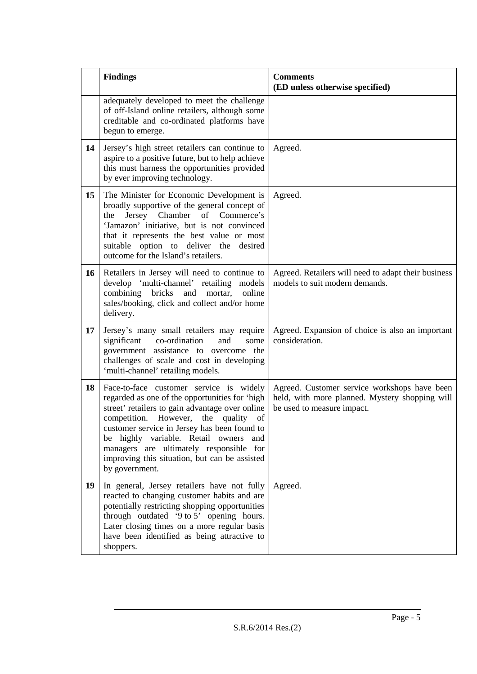|    | <b>Findings</b>                                                                                                                                                                                                                                                                                                                                                                                      | <b>Comments</b><br>(ED unless otherwise specified)                                                                           |
|----|------------------------------------------------------------------------------------------------------------------------------------------------------------------------------------------------------------------------------------------------------------------------------------------------------------------------------------------------------------------------------------------------------|------------------------------------------------------------------------------------------------------------------------------|
|    | adequately developed to meet the challenge<br>of off-Island online retailers, although some<br>creditable and co-ordinated platforms have<br>begun to emerge.                                                                                                                                                                                                                                        |                                                                                                                              |
| 14 | Jersey's high street retailers can continue to<br>aspire to a positive future, but to help achieve<br>this must harness the opportunities provided<br>by ever improving technology.                                                                                                                                                                                                                  | Agreed.                                                                                                                      |
| 15 | The Minister for Economic Development is<br>broadly supportive of the general concept of<br>Jersey Chamber of Commerce's<br>the<br>'Jamazon' initiative, but is not convinced<br>that it represents the best value or most<br>suitable option to deliver the desired<br>outcome for the Island's retailers.                                                                                          | Agreed.                                                                                                                      |
| 16 | Retailers in Jersey will need to continue to<br>develop 'multi-channel' retailing models<br>combining bricks<br>and<br>mortar,<br>online<br>sales/booking, click and collect and/or home<br>delivery.                                                                                                                                                                                                | Agreed. Retailers will need to adapt their business<br>models to suit modern demands.                                        |
| 17 | Jersey's many small retailers may require<br>significant<br>co-ordination<br>and<br>some<br>government assistance to overcome the<br>challenges of scale and cost in developing<br>'multi-channel' retailing models.                                                                                                                                                                                 | Agreed. Expansion of choice is also an important<br>consideration.                                                           |
| 18 | Face-to-face customer service is widely<br>regarded as one of the opportunities for 'high<br>street' retailers to gain advantage over online<br>competition. However,<br>the<br>quality<br>of<br>customer service in Jersey has been found to<br>be highly variable. Retail owners and<br>managers are ultimately responsible for<br>improving this situation, but can be assisted<br>by government. | Agreed. Customer service workshops have been<br>held, with more planned. Mystery shopping will<br>be used to measure impact. |
| 19 | In general, Jersey retailers have not fully<br>reacted to changing customer habits and are<br>potentially restricting shopping opportunities<br>through outdated '9 to 5' opening hours.<br>Later closing times on a more regular basis<br>have been identified as being attractive to<br>shoppers.                                                                                                  | Agreed.                                                                                                                      |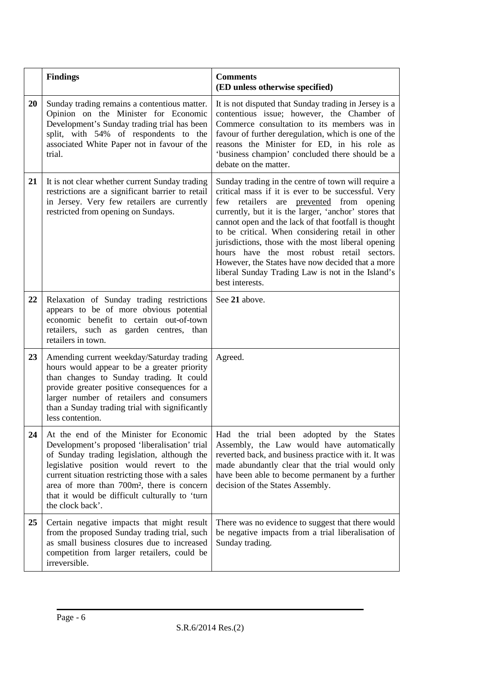|    | <b>Findings</b>                                                                                                                                                                                                                                                                                                                                                         | <b>Comments</b><br>(ED unless otherwise specified)                                                                                                                                                                                                                                                                                                                                                                                                                                                                                                            |
|----|-------------------------------------------------------------------------------------------------------------------------------------------------------------------------------------------------------------------------------------------------------------------------------------------------------------------------------------------------------------------------|---------------------------------------------------------------------------------------------------------------------------------------------------------------------------------------------------------------------------------------------------------------------------------------------------------------------------------------------------------------------------------------------------------------------------------------------------------------------------------------------------------------------------------------------------------------|
| 20 | Sunday trading remains a contentious matter.<br>Opinion on the Minister for Economic<br>Development's Sunday trading trial has been<br>split, with 54% of respondents to the<br>associated White Paper not in favour of the<br>trial.                                                                                                                                   | It is not disputed that Sunday trading in Jersey is a<br>contentious issue; however, the Chamber of<br>Commerce consultation to its members was in<br>favour of further deregulation, which is one of the<br>reasons the Minister for ED, in his role as<br>'business champion' concluded there should be a<br>debate on the matter.                                                                                                                                                                                                                          |
| 21 | It is not clear whether current Sunday trading<br>restrictions are a significant barrier to retail<br>in Jersey. Very few retailers are currently<br>restricted from opening on Sundays.                                                                                                                                                                                | Sunday trading in the centre of town will require a<br>critical mass if it is ever to be successful. Very<br>few retailers<br>are prevented from opening<br>currently, but it is the larger, 'anchor' stores that<br>cannot open and the lack of that footfall is thought<br>to be critical. When considering retail in other<br>jurisdictions, those with the most liberal opening<br>hours have the most robust retail sectors.<br>However, the States have now decided that a more<br>liberal Sunday Trading Law is not in the Island's<br>best interests. |
| 22 | Relaxation of Sunday trading restrictions<br>appears to be of more obvious potential<br>economic benefit to certain out-of-town<br>retailers, such as garden centres, than<br>retailers in town.                                                                                                                                                                        | See 21 above.                                                                                                                                                                                                                                                                                                                                                                                                                                                                                                                                                 |
| 23 | Amending current weekday/Saturday trading<br>hours would appear to be a greater priority<br>than changes to Sunday trading. It could<br>provide greater positive consequences for a<br>larger number of retailers and consumers<br>than a Sunday trading trial with significantly<br>less contention.                                                                   | Agreed.                                                                                                                                                                                                                                                                                                                                                                                                                                                                                                                                                       |
| 24 | At the end of the Minister for Economic<br>Development's proposed 'liberalisation' trial<br>of Sunday trading legislation, although the<br>legislative position would revert to the<br>current situation restricting those with a sales<br>area of more than 700m <sup>2</sup> , there is concern<br>that it would be difficult culturally to 'turn<br>the clock back'. | Had the trial been adopted by the States<br>Assembly, the Law would have automatically<br>reverted back, and business practice with it. It was<br>made abundantly clear that the trial would only<br>have been able to become permanent by a further<br>decision of the States Assembly.                                                                                                                                                                                                                                                                      |
| 25 | Certain negative impacts that might result<br>from the proposed Sunday trading trial, such<br>as small business closures due to increased<br>competition from larger retailers, could be<br>irreversible.                                                                                                                                                               | There was no evidence to suggest that there would<br>be negative impacts from a trial liberalisation of<br>Sunday trading.                                                                                                                                                                                                                                                                                                                                                                                                                                    |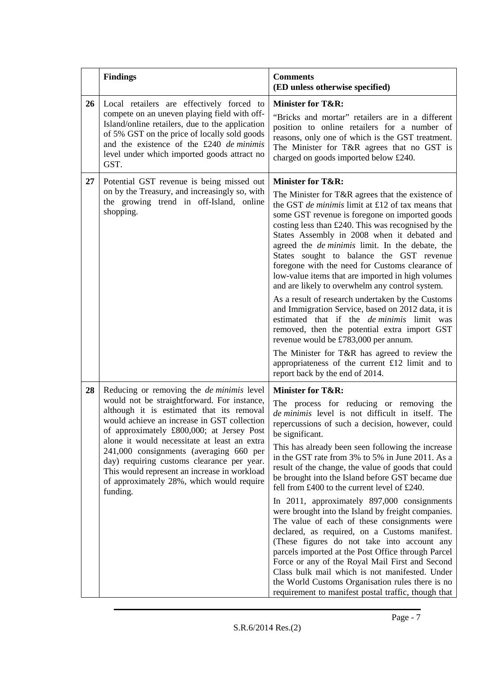|    | <b>Findings</b>                                                                                                                                                                                                                                                                                                                                                                                                                                                                            | <b>Comments</b><br>(ED unless otherwise specified)                                                                                                                                                                                                                                                                                                                                                                                                                                                                                                                                                                                                                                                                                                                                                                                                                                                                                                                                                 |
|----|--------------------------------------------------------------------------------------------------------------------------------------------------------------------------------------------------------------------------------------------------------------------------------------------------------------------------------------------------------------------------------------------------------------------------------------------------------------------------------------------|----------------------------------------------------------------------------------------------------------------------------------------------------------------------------------------------------------------------------------------------------------------------------------------------------------------------------------------------------------------------------------------------------------------------------------------------------------------------------------------------------------------------------------------------------------------------------------------------------------------------------------------------------------------------------------------------------------------------------------------------------------------------------------------------------------------------------------------------------------------------------------------------------------------------------------------------------------------------------------------------------|
| 26 | Local retailers are effectively forced to<br>compete on an uneven playing field with off-<br>Island/online retailers, due to the application<br>of 5% GST on the price of locally sold goods<br>and the existence of the £240 de minimis<br>level under which imported goods attract no<br>GST.                                                                                                                                                                                            | <b>Minister for T&amp;R:</b><br>"Bricks and mortar" retailers are in a different<br>position to online retailers for a number of<br>reasons, only one of which is the GST treatment.<br>The Minister for T&R agrees that no GST is<br>charged on goods imported below £240.                                                                                                                                                                                                                                                                                                                                                                                                                                                                                                                                                                                                                                                                                                                        |
| 27 | Potential GST revenue is being missed out<br>on by the Treasury, and increasingly so, with<br>the growing trend in off-Island, online<br>shopping.                                                                                                                                                                                                                                                                                                                                         | <b>Minister for T&amp;R:</b><br>The Minister for T&R agrees that the existence of<br>the GST <i>de minimis</i> limit at £12 of tax means that<br>some GST revenue is foregone on imported goods<br>costing less than £240. This was recognised by the<br>States Assembly in 2008 when it debated and<br>agreed the <i>de minimis</i> limit. In the debate, the<br>States sought to balance the GST revenue<br>foregone with the need for Customs clearance of<br>low-value items that are imported in high volumes<br>and are likely to overwhelm any control system.<br>As a result of research undertaken by the Customs<br>and Immigration Service, based on 2012 data, it is<br>estimated that if the <i>de minimis</i> limit was<br>removed, then the potential extra import GST<br>revenue would be £783,000 per annum.<br>The Minister for T&R has agreed to review the<br>appropriateness of the current £12 limit and to<br>report back by the end of 2014.                               |
| 28 | Reducing or removing the <i>de minimis</i> level<br>would not be straightforward. For instance,<br>although it is estimated that its removal<br>would achieve an increase in GST collection<br>of approximately £800,000; at Jersey Post<br>alone it would necessitate at least an extra<br>241,000 consignments (averaging 660 per<br>day) requiring customs clearance per year.<br>This would represent an increase in workload<br>of approximately 28%, which would require<br>funding. | <b>Minister for T&amp;R:</b><br>The process for reducing or removing the<br>de minimis level is not difficult in itself. The<br>repercussions of such a decision, however, could<br>be significant.<br>This has already been seen following the increase<br>in the GST rate from 3% to 5% in June 2011. As a<br>result of the change, the value of goods that could<br>be brought into the Island before GST became due<br>fell from £400 to the current level of £240.<br>In 2011, approximately 897,000 consignments<br>were brought into the Island by freight companies.<br>The value of each of these consignments were<br>declared, as required, on a Customs manifest.<br>(These figures do not take into account any<br>parcels imported at the Post Office through Parcel<br>Force or any of the Royal Mail First and Second<br>Class bulk mail which is not manifested. Under<br>the World Customs Organisation rules there is no<br>requirement to manifest postal traffic, though that |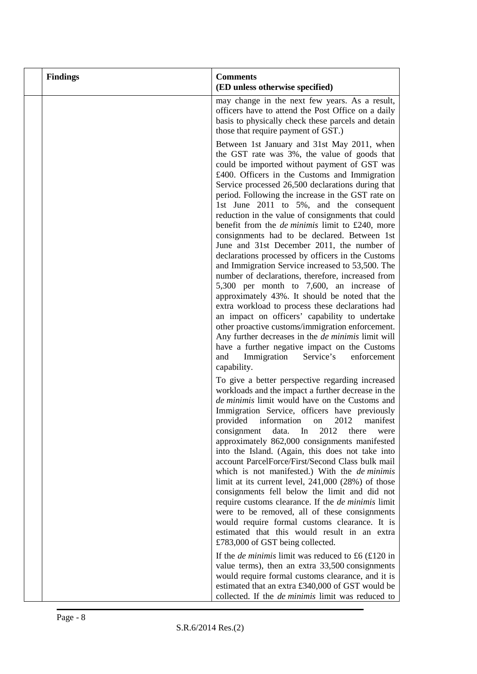| <b>Findings</b> | <b>Comments</b><br>(ED unless otherwise specified)                                                                                                                                                                                                                                                                                                                                                                                                                                                                                                                                                                                                                                                                                                                                                                                                                                                                                                                                                                                                                                                                                                                  |
|-----------------|---------------------------------------------------------------------------------------------------------------------------------------------------------------------------------------------------------------------------------------------------------------------------------------------------------------------------------------------------------------------------------------------------------------------------------------------------------------------------------------------------------------------------------------------------------------------------------------------------------------------------------------------------------------------------------------------------------------------------------------------------------------------------------------------------------------------------------------------------------------------------------------------------------------------------------------------------------------------------------------------------------------------------------------------------------------------------------------------------------------------------------------------------------------------|
|                 | may change in the next few years. As a result,<br>officers have to attend the Post Office on a daily<br>basis to physically check these parcels and detain<br>those that require payment of GST.)                                                                                                                                                                                                                                                                                                                                                                                                                                                                                                                                                                                                                                                                                                                                                                                                                                                                                                                                                                   |
|                 | Between 1st January and 31st May 2011, when<br>the GST rate was 3%, the value of goods that<br>could be imported without payment of GST was<br>£400. Officers in the Customs and Immigration<br>Service processed 26,500 declarations during that<br>period. Following the increase in the GST rate on<br>1st June 2011 to 5%, and the consequent<br>reduction in the value of consignments that could<br>benefit from the <i>de minimis</i> limit to £240, more<br>consignments had to be declared. Between 1st<br>June and 31st December 2011, the number of<br>declarations processed by officers in the Customs<br>and Immigration Service increased to 53,500. The<br>number of declarations, therefore, increased from<br>5,300 per month to 7,600, an increase of<br>approximately 43%. It should be noted that the<br>extra workload to process these declarations had<br>an impact on officers' capability to undertake<br>other proactive customs/immigration enforcement.<br>Any further decreases in the <i>de minimis</i> limit will<br>have a further negative impact on the Customs<br>Immigration<br>Service's<br>enforcement<br>and<br>capability. |
|                 | To give a better perspective regarding increased<br>workloads and the impact a further decrease in the<br>de minimis limit would have on the Customs and<br>Immigration Service, officers have previously<br>provided<br>information<br>2012<br>manifest<br>on<br>In<br>data.<br>2012<br>there<br>consignment<br>were<br>approximately 862,000 consignments manifested<br>into the Island. (Again, this does not take into<br>account ParcelForce/First/Second Class bulk mail<br>which is not manifested.) With the deminimis<br>limit at its current level, $241,000$ $(28%)$ of those<br>consignments fell below the limit and did not<br>require customs clearance. If the <i>de minimis</i> limit<br>were to be removed, all of these consignments<br>would require formal customs clearance. It is<br>estimated that this would result in an extra<br>£783,000 of GST being collected.                                                                                                                                                                                                                                                                        |
|                 | If the <i>de minimis</i> limit was reduced to £6 $(£120$ in<br>value terms), then an extra 33,500 consignments<br>would require formal customs clearance, and it is<br>estimated that an extra £340,000 of GST would be<br>collected. If the <i>de minimis</i> limit was reduced to                                                                                                                                                                                                                                                                                                                                                                                                                                                                                                                                                                                                                                                                                                                                                                                                                                                                                 |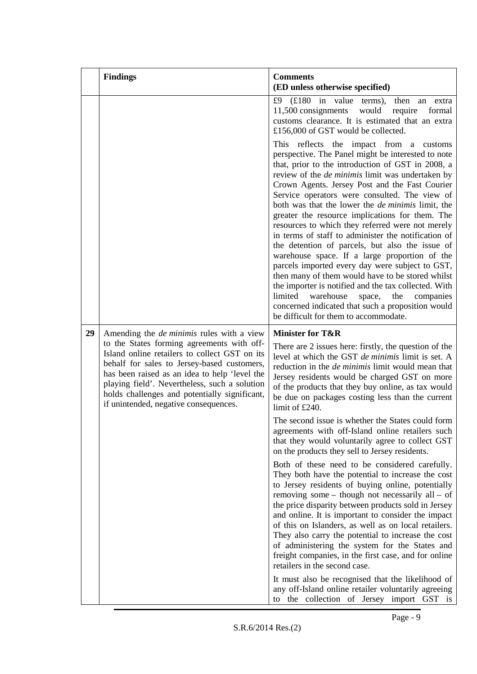|    | <b>Findings</b>                                                                                                                                                                                                                                                                                                                        | <b>Comments</b><br>(ED unless otherwise specified)                                                                                                                                                                                                                                                                                                                                                                                                                                                                                                                                                                                                                                                                                                                                                                                                                                                                                                                |
|----|----------------------------------------------------------------------------------------------------------------------------------------------------------------------------------------------------------------------------------------------------------------------------------------------------------------------------------------|-------------------------------------------------------------------------------------------------------------------------------------------------------------------------------------------------------------------------------------------------------------------------------------------------------------------------------------------------------------------------------------------------------------------------------------------------------------------------------------------------------------------------------------------------------------------------------------------------------------------------------------------------------------------------------------------------------------------------------------------------------------------------------------------------------------------------------------------------------------------------------------------------------------------------------------------------------------------|
|    |                                                                                                                                                                                                                                                                                                                                        | £9 $(f180$ in value terms),<br>then an extra<br>11,500 consignments would<br>require<br>formal<br>customs clearance. It is estimated that an extra<br>£156,000 of GST would be collected.                                                                                                                                                                                                                                                                                                                                                                                                                                                                                                                                                                                                                                                                                                                                                                         |
|    |                                                                                                                                                                                                                                                                                                                                        | This reflects the impact from a customs<br>perspective. The Panel might be interested to note<br>that, prior to the introduction of GST in 2008, a<br>review of the <i>de minimis</i> limit was undertaken by<br>Crown Agents. Jersey Post and the Fast Courier<br>Service operators were consulted. The view of<br>both was that the lower the <i>de minimis</i> limit, the<br>greater the resource implications for them. The<br>resources to which they referred were not merely<br>in terms of staff to administer the notification of<br>the detention of parcels, but also the issue of<br>warehouse space. If a large proportion of the<br>parcels imported every day were subject to GST,<br>then many of them would have to be stored whilst<br>the importer is notified and the tax collected. With<br>limited<br>the<br>warehouse<br>space,<br>companies<br>concerned indicated that such a proposition would<br>be difficult for them to accommodate. |
| 29 | Amending the <i>de minimis</i> rules with a view                                                                                                                                                                                                                                                                                       | <b>Minister for T&amp;R</b>                                                                                                                                                                                                                                                                                                                                                                                                                                                                                                                                                                                                                                                                                                                                                                                                                                                                                                                                       |
|    | to the States forming agreements with off-<br>Island online retailers to collect GST on its<br>behalf for sales to Jersey-based customers,<br>has been raised as an idea to help 'level the<br>playing field'. Nevertheless, such a solution<br>holds challenges and potentially significant,<br>if unintended, negative consequences. | There are 2 issues here: firstly, the question of the<br>level at which the GST de minimis limit is set. A<br>reduction in the <i>de minimis</i> limit would mean that<br>Jersey residents would be charged GST on more<br>of the products that they buy online, as tax would<br>be due on packages costing less than the current<br>limit of £240.                                                                                                                                                                                                                                                                                                                                                                                                                                                                                                                                                                                                               |
|    |                                                                                                                                                                                                                                                                                                                                        | The second issue is whether the States could form<br>agreements with off-Island online retailers such<br>that they would voluntarily agree to collect GST<br>on the products they sell to Jersey residents.                                                                                                                                                                                                                                                                                                                                                                                                                                                                                                                                                                                                                                                                                                                                                       |
|    |                                                                                                                                                                                                                                                                                                                                        | Both of these need to be considered carefully.<br>They both have the potential to increase the cost<br>to Jersey residents of buying online, potentially<br>removing some $-$ though not necessarily all $-$ of<br>the price disparity between products sold in Jersey<br>and online. It is important to consider the impact<br>of this on Islanders, as well as on local retailers.<br>They also carry the potential to increase the cost<br>of administering the system for the States and<br>freight companies, in the first case, and for online<br>retailers in the second case.                                                                                                                                                                                                                                                                                                                                                                             |
|    |                                                                                                                                                                                                                                                                                                                                        | It must also be recognised that the likelihood of<br>any off-Island online retailer voluntarily agreeing<br>the collection of Jersey import GST is<br>to                                                                                                                                                                                                                                                                                                                                                                                                                                                                                                                                                                                                                                                                                                                                                                                                          |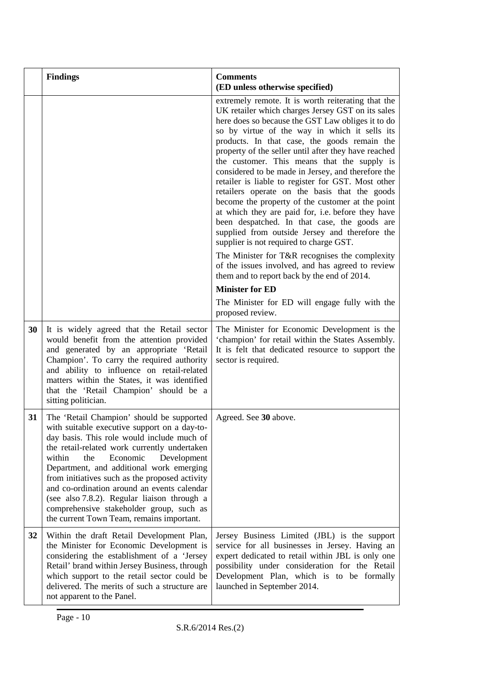|    | <b>Findings</b>                                                                                                                                                                                                                                                                                                                                                                                                                                                                                                          | <b>Comments</b><br>(ED unless otherwise specified)                                                                                                                                                                                                                                                                                                                                                                                                                                                                                                                                                                                                                                                                                                                                                                                                                                                                                                                                                                                           |
|----|--------------------------------------------------------------------------------------------------------------------------------------------------------------------------------------------------------------------------------------------------------------------------------------------------------------------------------------------------------------------------------------------------------------------------------------------------------------------------------------------------------------------------|----------------------------------------------------------------------------------------------------------------------------------------------------------------------------------------------------------------------------------------------------------------------------------------------------------------------------------------------------------------------------------------------------------------------------------------------------------------------------------------------------------------------------------------------------------------------------------------------------------------------------------------------------------------------------------------------------------------------------------------------------------------------------------------------------------------------------------------------------------------------------------------------------------------------------------------------------------------------------------------------------------------------------------------------|
|    |                                                                                                                                                                                                                                                                                                                                                                                                                                                                                                                          | extremely remote. It is worth reiterating that the<br>UK retailer which charges Jersey GST on its sales<br>here does so because the GST Law obliges it to do<br>so by virtue of the way in which it sells its<br>products. In that case, the goods remain the<br>property of the seller until after they have reached<br>the customer. This means that the supply is<br>considered to be made in Jersey, and therefore the<br>retailer is liable to register for GST. Most other<br>retailers operate on the basis that the goods<br>become the property of the customer at the point<br>at which they are paid for, i.e. before they have<br>been despatched. In that case, the goods are<br>supplied from outside Jersey and therefore the<br>supplier is not required to charge GST.<br>The Minister for T&R recognises the complexity<br>of the issues involved, and has agreed to review<br>them and to report back by the end of 2014.<br><b>Minister for ED</b><br>The Minister for ED will engage fully with the<br>proposed review. |
| 30 | It is widely agreed that the Retail sector<br>would benefit from the attention provided<br>and generated by an appropriate 'Retail<br>Champion'. To carry the required authority<br>and ability to influence on retail-related<br>matters within the States, it was identified<br>that the 'Retail Champion' should be a<br>sitting politician.                                                                                                                                                                          | The Minister for Economic Development is the<br>'champion' for retail within the States Assembly.<br>It is felt that dedicated resource to support the<br>sector is required.                                                                                                                                                                                                                                                                                                                                                                                                                                                                                                                                                                                                                                                                                                                                                                                                                                                                |
| 31 | The 'Retail Champion' should be supported<br>with suitable executive support on a day-to-<br>day basis. This role would include much of<br>the retail-related work currently undertaken<br>within<br>the<br>Economic<br>Development<br>Department, and additional work emerging<br>from initiatives such as the proposed activity<br>and co-ordination around an events calendar<br>(see also 7.8.2). Regular liaison through a<br>comprehensive stakeholder group, such as<br>the current Town Team, remains important. | Agreed. See 30 above.                                                                                                                                                                                                                                                                                                                                                                                                                                                                                                                                                                                                                                                                                                                                                                                                                                                                                                                                                                                                                        |
| 32 | Within the draft Retail Development Plan,<br>the Minister for Economic Development is<br>considering the establishment of a 'Jersey<br>Retail' brand within Jersey Business, through<br>which support to the retail sector could be<br>delivered. The merits of such a structure are<br>not apparent to the Panel.                                                                                                                                                                                                       | Jersey Business Limited (JBL) is the support<br>service for all businesses in Jersey. Having an<br>expert dedicated to retail within JBL is only one<br>possibility under consideration for the Retail<br>Development Plan, which is to be formally<br>launched in September 2014.                                                                                                                                                                                                                                                                                                                                                                                                                                                                                                                                                                                                                                                                                                                                                           |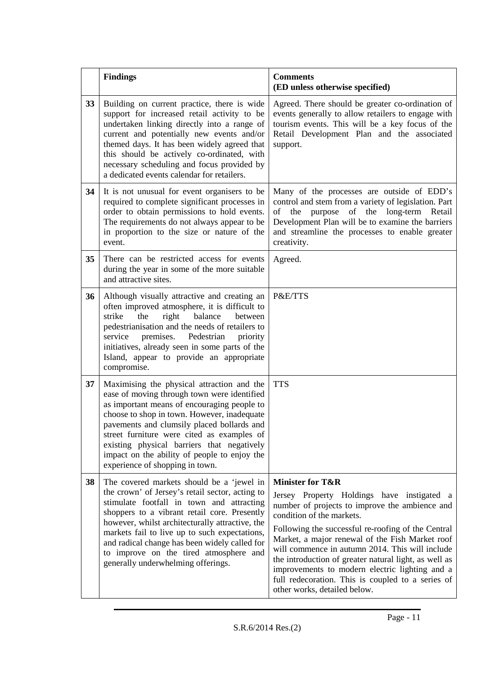|    | <b>Findings</b>                                                                                                                                                                                                                                                                                                                                                                                                                | <b>Comments</b><br>(ED unless otherwise specified)                                                                                                                                                                                                                                                                                                                                                                                                                                                                   |
|----|--------------------------------------------------------------------------------------------------------------------------------------------------------------------------------------------------------------------------------------------------------------------------------------------------------------------------------------------------------------------------------------------------------------------------------|----------------------------------------------------------------------------------------------------------------------------------------------------------------------------------------------------------------------------------------------------------------------------------------------------------------------------------------------------------------------------------------------------------------------------------------------------------------------------------------------------------------------|
| 33 | Building on current practice, there is wide<br>support for increased retail activity to be<br>undertaken linking directly into a range of<br>current and potentially new events and/or<br>themed days. It has been widely agreed that<br>this should be actively co-ordinated, with<br>necessary scheduling and focus provided by<br>a dedicated events calendar for retailers.                                                | Agreed. There should be greater co-ordination of<br>events generally to allow retailers to engage with<br>tourism events. This will be a key focus of the<br>Retail Development Plan and the associated<br>support.                                                                                                                                                                                                                                                                                                  |
| 34 | It is not unusual for event organisers to be<br>required to complete significant processes in<br>order to obtain permissions to hold events.<br>The requirements do not always appear to be<br>in proportion to the size or nature of the<br>event.                                                                                                                                                                            | Many of the processes are outside of EDD's<br>control and stem from a variety of legislation. Part<br>purpose of the long-term Retail<br>of the<br>Development Plan will be to examine the barriers<br>and streamline the processes to enable greater<br>creativity.                                                                                                                                                                                                                                                 |
| 35 | There can be restricted access for events<br>during the year in some of the more suitable<br>and attractive sites.                                                                                                                                                                                                                                                                                                             | Agreed.                                                                                                                                                                                                                                                                                                                                                                                                                                                                                                              |
| 36 | Although visually attractive and creating an<br>often improved atmosphere, it is difficult to<br>balance<br>strike<br>the<br>right<br>between<br>pedestrianisation and the needs of retailers to<br>premises.<br>service<br>Pedestrian<br>priority<br>initiatives, already seen in some parts of the<br>Island, appear to provide an appropriate<br>compromise.                                                                | P&E/TTS                                                                                                                                                                                                                                                                                                                                                                                                                                                                                                              |
| 37 | Maximising the physical attraction and the<br>ease of moving through town were identified<br>as important means of encouraging people to<br>choose to shop in town. However, inadequate<br>pavements and clumsily placed bollards and<br>street furniture were cited as examples of<br>existing physical barriers that negatively<br>impact on the ability of people to enjoy the<br>experience of shopping in town.           | <b>TTS</b>                                                                                                                                                                                                                                                                                                                                                                                                                                                                                                           |
| 38 | The covered markets should be a 'jewel in<br>the crown' of Jersey's retail sector, acting to<br>stimulate footfall in town and attracting<br>shoppers to a vibrant retail core. Presently<br>however, whilst architecturally attractive, the<br>markets fail to live up to such expectations,<br>and radical change has been widely called for<br>to improve on the tired atmosphere and<br>generally underwhelming offerings. | <b>Minister for T&amp;R</b><br>Jersey Property Holdings have instigated a<br>number of projects to improve the ambience and<br>condition of the markets.<br>Following the successful re-roofing of the Central<br>Market, a major renewal of the Fish Market roof<br>will commence in autumn 2014. This will include<br>the introduction of greater natural light, as well as<br>improvements to modern electric lighting and a<br>full redecoration. This is coupled to a series of<br>other works, detailed below. |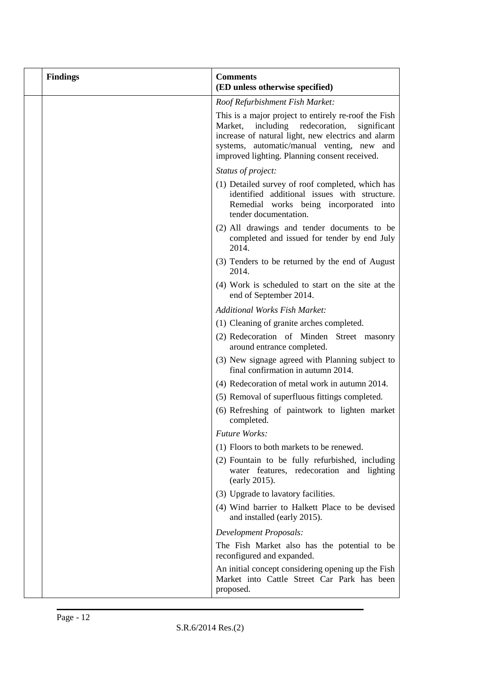| <b>Findings</b> | <b>Comments</b><br>(ED unless otherwise specified)                                                                                                                                                                                                                |
|-----------------|-------------------------------------------------------------------------------------------------------------------------------------------------------------------------------------------------------------------------------------------------------------------|
|                 | Roof Refurbishment Fish Market:                                                                                                                                                                                                                                   |
|                 | This is a major project to entirely re-roof the Fish<br>including<br>Market,<br>redecoration,<br>significant<br>increase of natural light, new electrics and alarm<br>systems, automatic/manual venting, new and<br>improved lighting. Planning consent received. |
|                 | Status of project:                                                                                                                                                                                                                                                |
|                 | (1) Detailed survey of roof completed, which has<br>identified additional issues with structure.<br>Remedial works being incorporated into<br>tender documentation.                                                                                               |
|                 | (2) All drawings and tender documents to be<br>completed and issued for tender by end July<br>2014.                                                                                                                                                               |
|                 | (3) Tenders to be returned by the end of August<br>2014.                                                                                                                                                                                                          |
|                 | (4) Work is scheduled to start on the site at the<br>end of September 2014.                                                                                                                                                                                       |
|                 | <b>Additional Works Fish Market:</b>                                                                                                                                                                                                                              |
|                 | (1) Cleaning of granite arches completed.                                                                                                                                                                                                                         |
|                 | (2) Redecoration of Minden Street masonry<br>around entrance completed.                                                                                                                                                                                           |
|                 | (3) New signage agreed with Planning subject to<br>final confirmation in autumn 2014.                                                                                                                                                                             |
|                 | (4) Redecoration of metal work in autumn 2014.                                                                                                                                                                                                                    |
|                 | (5) Removal of superfluous fittings completed.                                                                                                                                                                                                                    |
|                 | (6) Refreshing of paintwork to lighten market<br>completed.                                                                                                                                                                                                       |
|                 | <b>Future Works:</b>                                                                                                                                                                                                                                              |
|                 | (1) Floors to both markets to be renewed.                                                                                                                                                                                                                         |
|                 | (2) Fountain to be fully refurbished, including<br>water features, redecoration and lighting<br>(early 2015).                                                                                                                                                     |
|                 | (3) Upgrade to lavatory facilities.                                                                                                                                                                                                                               |
|                 | (4) Wind barrier to Halkett Place to be devised<br>and installed (early 2015).                                                                                                                                                                                    |
|                 | Development Proposals:                                                                                                                                                                                                                                            |
|                 | The Fish Market also has the potential to be<br>reconfigured and expanded.                                                                                                                                                                                        |
|                 | An initial concept considering opening up the Fish<br>Market into Cattle Street Car Park has been<br>proposed.                                                                                                                                                    |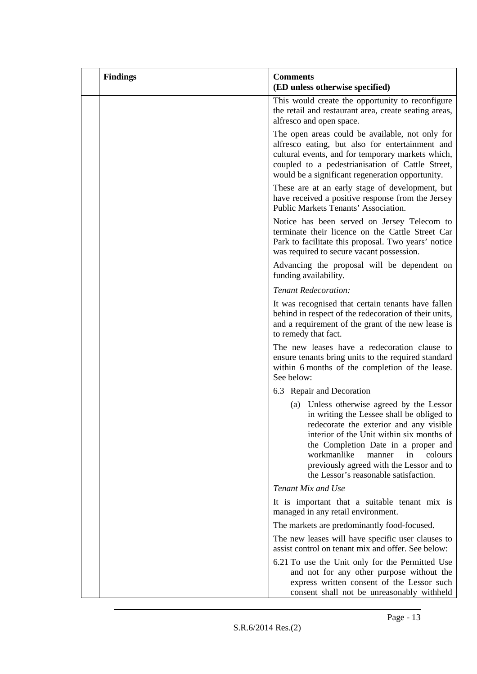| <b>Findings</b> | <b>Comments</b><br>(ED unless otherwise specified)                                                                                                                                                                                                                                                                                                   |
|-----------------|------------------------------------------------------------------------------------------------------------------------------------------------------------------------------------------------------------------------------------------------------------------------------------------------------------------------------------------------------|
|                 | This would create the opportunity to reconfigure<br>the retail and restaurant area, create seating areas,<br>alfresco and open space.                                                                                                                                                                                                                |
|                 | The open areas could be available, not only for<br>alfresco eating, but also for entertainment and<br>cultural events, and for temporary markets which,<br>coupled to a pedestrianisation of Cattle Street,<br>would be a significant regeneration opportunity.                                                                                      |
|                 | These are at an early stage of development, but<br>have received a positive response from the Jersey<br>Public Markets Tenants' Association.                                                                                                                                                                                                         |
|                 | Notice has been served on Jersey Telecom to<br>terminate their licence on the Cattle Street Car<br>Park to facilitate this proposal. Two years' notice<br>was required to secure vacant possession.                                                                                                                                                  |
|                 | Advancing the proposal will be dependent on<br>funding availability.                                                                                                                                                                                                                                                                                 |
|                 | Tenant Redecoration:                                                                                                                                                                                                                                                                                                                                 |
|                 | It was recognised that certain tenants have fallen<br>behind in respect of the redecoration of their units,<br>and a requirement of the grant of the new lease is<br>to remedy that fact.                                                                                                                                                            |
|                 | The new leases have a redecoration clause to<br>ensure tenants bring units to the required standard<br>within 6 months of the completion of the lease.<br>See below:                                                                                                                                                                                 |
|                 | 6.3 Repair and Decoration                                                                                                                                                                                                                                                                                                                            |
|                 | (a) Unless otherwise agreed by the Lessor<br>in writing the Lessee shall be obliged to<br>redecorate the exterior and any visible<br>interior of the Unit within six months of<br>the Completion Date in a proper and<br>workmanlike<br>colours<br>in<br>manner<br>previously agreed with the Lessor and to<br>the Lessor's reasonable satisfaction. |
|                 | Tenant Mix and Use                                                                                                                                                                                                                                                                                                                                   |
|                 | It is important that a suitable tenant mix is<br>managed in any retail environment.                                                                                                                                                                                                                                                                  |
|                 | The markets are predominantly food-focused.                                                                                                                                                                                                                                                                                                          |
|                 | The new leases will have specific user clauses to<br>assist control on tenant mix and offer. See below:                                                                                                                                                                                                                                              |
|                 | 6.21 To use the Unit only for the Permitted Use<br>and not for any other purpose without the<br>express written consent of the Lessor such<br>consent shall not be unreasonably withheld                                                                                                                                                             |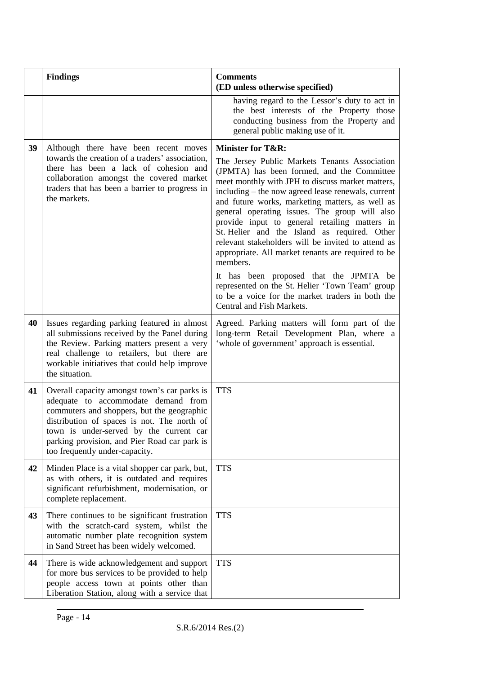|    | <b>Findings</b>                                                                                                                                                                                                                                                                                               | <b>Comments</b><br>(ED unless otherwise specified)                                                                                                                                                                                                                                                                                                                                                                                                                                                                                                                                                                                                                                                                  |
|----|---------------------------------------------------------------------------------------------------------------------------------------------------------------------------------------------------------------------------------------------------------------------------------------------------------------|---------------------------------------------------------------------------------------------------------------------------------------------------------------------------------------------------------------------------------------------------------------------------------------------------------------------------------------------------------------------------------------------------------------------------------------------------------------------------------------------------------------------------------------------------------------------------------------------------------------------------------------------------------------------------------------------------------------------|
|    |                                                                                                                                                                                                                                                                                                               | having regard to the Lessor's duty to act in<br>the best interests of the Property those<br>conducting business from the Property and<br>general public making use of it.                                                                                                                                                                                                                                                                                                                                                                                                                                                                                                                                           |
| 39 | Although there have been recent moves<br>towards the creation of a traders' association,<br>there has been a lack of cohesion and<br>collaboration amongst the covered market<br>traders that has been a barrier to progress in<br>the markets.                                                               | <b>Minister for T&amp;R:</b><br>The Jersey Public Markets Tenants Association<br>(JPMTA) has been formed, and the Committee<br>meet monthly with JPH to discuss market matters,<br>including – the now agreed lease renewals, current<br>and future works, marketing matters, as well as<br>general operating issues. The group will also<br>provide input to general retailing matters in<br>St. Helier and the Island as required. Other<br>relevant stakeholders will be invited to attend as<br>appropriate. All market tenants are required to be<br>members.<br>It has been proposed that the JPMTA be<br>represented on the St. Helier 'Town Team' group<br>to be a voice for the market traders in both the |
| 40 | Issues regarding parking featured in almost<br>all submissions received by the Panel during<br>the Review. Parking matters present a very<br>real challenge to retailers, but there are<br>workable initiatives that could help improve<br>the situation.                                                     | Central and Fish Markets.<br>Agreed. Parking matters will form part of the<br>long-term Retail Development Plan, where a<br>'whole of government' approach is essential.                                                                                                                                                                                                                                                                                                                                                                                                                                                                                                                                            |
| 41 | Overall capacity amongst town's car parks is<br>adequate to accommodate demand from<br>commuters and shoppers, but the geographic<br>distribution of spaces is not. The north of<br>town is under-served by the current car<br>parking provision, and Pier Road car park is<br>too frequently under-capacity. | <b>TTS</b>                                                                                                                                                                                                                                                                                                                                                                                                                                                                                                                                                                                                                                                                                                          |
| 42 | Minden Place is a vital shopper car park, but,<br>as with others, it is outdated and requires<br>significant refurbishment, modernisation, or<br>complete replacement.                                                                                                                                        | <b>TTS</b>                                                                                                                                                                                                                                                                                                                                                                                                                                                                                                                                                                                                                                                                                                          |
| 43 | There continues to be significant frustration<br>with the scratch-card system, whilst the<br>automatic number plate recognition system<br>in Sand Street has been widely welcomed.                                                                                                                            | <b>TTS</b>                                                                                                                                                                                                                                                                                                                                                                                                                                                                                                                                                                                                                                                                                                          |
| 44 | There is wide acknowledgement and support<br>for more bus services to be provided to help<br>people access town at points other than<br>Liberation Station, along with a service that                                                                                                                         | <b>TTS</b>                                                                                                                                                                                                                                                                                                                                                                                                                                                                                                                                                                                                                                                                                                          |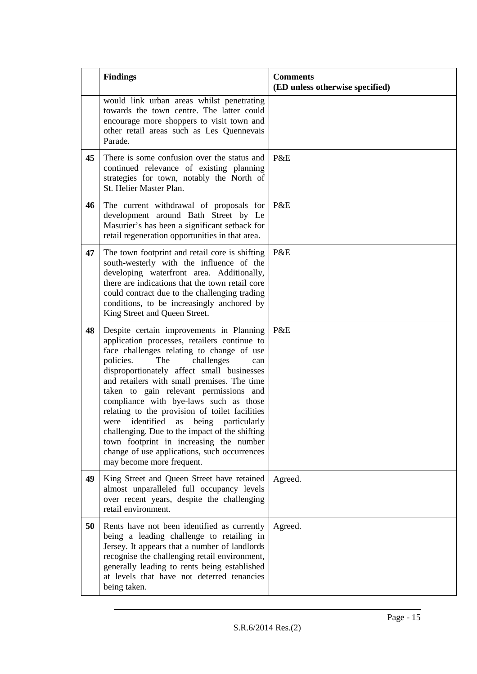|    | <b>Findings</b>                                                                                                                                                                                                                                                                                                                                                                                                                                                                                                                                                                                                                      | <b>Comments</b><br>(ED unless otherwise specified) |
|----|--------------------------------------------------------------------------------------------------------------------------------------------------------------------------------------------------------------------------------------------------------------------------------------------------------------------------------------------------------------------------------------------------------------------------------------------------------------------------------------------------------------------------------------------------------------------------------------------------------------------------------------|----------------------------------------------------|
|    | would link urban areas whilst penetrating<br>towards the town centre. The latter could<br>encourage more shoppers to visit town and<br>other retail areas such as Les Quennevais<br>Parade.                                                                                                                                                                                                                                                                                                                                                                                                                                          |                                                    |
| 45 | There is some confusion over the status and<br>continued relevance of existing planning<br>strategies for town, notably the North of<br>St. Helier Master Plan.                                                                                                                                                                                                                                                                                                                                                                                                                                                                      | P&E                                                |
| 46 | The current withdrawal of proposals for<br>development around Bath Street by Le<br>Masurier's has been a significant setback for<br>retail regeneration opportunities in that area.                                                                                                                                                                                                                                                                                                                                                                                                                                                  | P&E                                                |
| 47 | The town footprint and retail core is shifting<br>south-westerly with the influence of the<br>developing waterfront area. Additionally,<br>there are indications that the town retail core<br>could contract due to the challenging trading<br>conditions, to be increasingly anchored by<br>King Street and Queen Street.                                                                                                                                                                                                                                                                                                           | P&E                                                |
| 48 | Despite certain improvements in Planning<br>application processes, retailers continue to<br>face challenges relating to change of use<br>policies.<br>challenges<br>The<br>can<br>disproportionately affect small businesses<br>and retailers with small premises. The time<br>taken to gain relevant permissions and<br>compliance with bye-laws such as those<br>relating to the provision of toilet facilities<br>were identified as being particularly<br>challenging. Due to the impact of the shifting<br>town footprint in increasing the number<br>change of use applications, such occurrences<br>may become more frequent. | P&E                                                |
| 49 | King Street and Queen Street have retained<br>almost unparalleled full occupancy levels<br>over recent years, despite the challenging<br>retail environment.                                                                                                                                                                                                                                                                                                                                                                                                                                                                         | Agreed.                                            |
| 50 | Rents have not been identified as currently<br>being a leading challenge to retailing in<br>Jersey. It appears that a number of landlords<br>recognise the challenging retail environment,<br>generally leading to rents being established<br>at levels that have not deterred tenancies<br>being taken.                                                                                                                                                                                                                                                                                                                             | Agreed.                                            |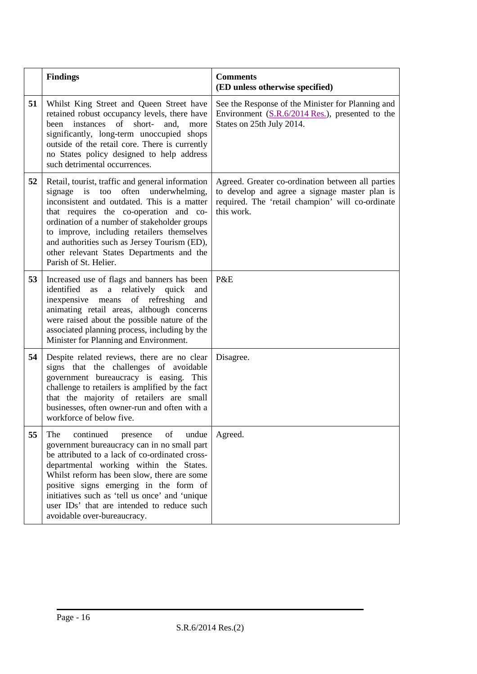|    | <b>Findings</b>                                                                                                                                                                                                                                                                                                                                                                                                 | <b>Comments</b><br>(ED unless otherwise specified)                                                                                                                   |
|----|-----------------------------------------------------------------------------------------------------------------------------------------------------------------------------------------------------------------------------------------------------------------------------------------------------------------------------------------------------------------------------------------------------------------|----------------------------------------------------------------------------------------------------------------------------------------------------------------------|
| 51 | Whilst King Street and Queen Street have<br>retained robust occupancy levels, there have<br>instances<br>of<br>short-<br>and.<br>heen<br>more<br>significantly, long-term unoccupied shops<br>outside of the retail core. There is currently<br>no States policy designed to help address<br>such detrimental occurrences.                                                                                      | See the Response of the Minister for Planning and<br>Environment (S.R.6/2014 Res.), presented to the<br>States on 25th July 2014.                                    |
| 52 | Retail, tourist, traffic and general information<br>signage is<br>too<br>often<br>underwhelming,<br>inconsistent and outdated. This is a matter<br>that requires the co-operation and co-<br>ordination of a number of stakeholder groups<br>to improve, including retailers themselves<br>and authorities such as Jersey Tourism (ED),<br>other relevant States Departments and the<br>Parish of St. Helier.   | Agreed. Greater co-ordination between all parties<br>to develop and agree a signage master plan is<br>required. The 'retail champion' will co-ordinate<br>this work. |
| 53 | Increased use of flags and banners has been<br>a relatively quick<br>identified as<br>and<br>inexpensive means of refreshing<br>and<br>animating retail areas, although concerns<br>were raised about the possible nature of the<br>associated planning process, including by the<br>Minister for Planning and Environment.                                                                                     | P&E                                                                                                                                                                  |
| 54 | Despite related reviews, there are no clear<br>signs that the challenges of avoidable<br>government bureaucracy is easing. This<br>challenge to retailers is amplified by the fact<br>that the majority of retailers are small<br>businesses, often owner-run and often with a<br>workforce of below five.                                                                                                      | Disagree.                                                                                                                                                            |
| 55 | continued<br>The<br>of<br>undue<br>presence<br>government bureaucracy can in no small part<br>be attributed to a lack of co-ordinated cross-<br>departmental working within the States.<br>Whilst reform has been slow, there are some<br>positive signs emerging in the form of<br>initiatives such as 'tell us once' and 'unique<br>user IDs' that are intended to reduce such<br>avoidable over-bureaucracy. | Agreed.                                                                                                                                                              |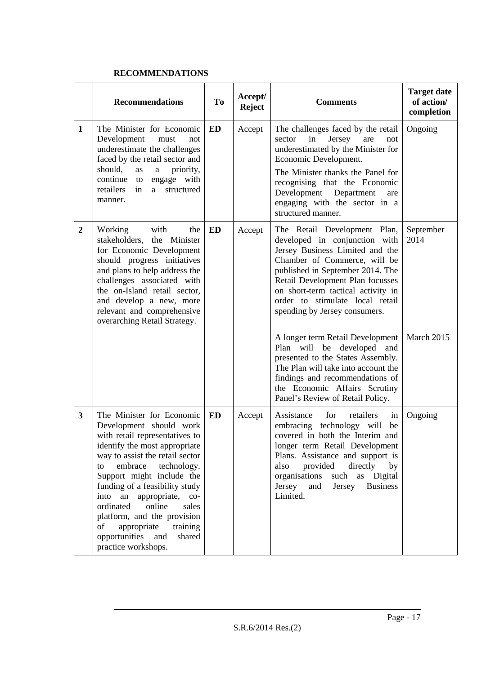#### **RECOMMENDATIONS**

|                | <b>Recommendations</b>                                                                                                                                                                                                                                                                                                                                                                                                                            | <b>To</b> | Accept/<br><b>Reject</b> | <b>Comments</b>                                                                                                                                                                                                                                                                                                            | <b>Target date</b><br>of action/<br>completion |
|----------------|---------------------------------------------------------------------------------------------------------------------------------------------------------------------------------------------------------------------------------------------------------------------------------------------------------------------------------------------------------------------------------------------------------------------------------------------------|-----------|--------------------------|----------------------------------------------------------------------------------------------------------------------------------------------------------------------------------------------------------------------------------------------------------------------------------------------------------------------------|------------------------------------------------|
| 1              | The Minister for Economic<br>Development<br>must<br>not<br>underestimate the challenges<br>faced by the retail sector and<br>should,<br>priority,<br>as<br>$\rm{a}$                                                                                                                                                                                                                                                                               | <b>ED</b> | Accept                   | The challenges faced by the retail<br>in<br>Jersey<br>sector<br>are<br>not<br>underestimated by the Minister for<br>Economic Development.                                                                                                                                                                                  | Ongoing                                        |
|                | continue to<br>engage with<br>retailers<br>structured<br>a<br>in<br>manner.                                                                                                                                                                                                                                                                                                                                                                       |           |                          | The Minister thanks the Panel for<br>recognising that the Economic<br>Development Department<br>are<br>engaging with the sector in a<br>structured manner.                                                                                                                                                                 |                                                |
| $\overline{2}$ | Working<br>with<br>the<br>stakeholders, the Minister<br>for Economic Development<br>should progress initiatives<br>and plans to help address the<br>challenges associated with<br>the on-Island retail sector,<br>and develop a new, more<br>relevant and comprehensive<br>overarching Retail Strategy.                                                                                                                                           | <b>ED</b> | Accept                   | The Retail Development Plan,<br>developed in conjunction with<br>Jersey Business Limited and the<br>Chamber of Commerce, will be<br>published in September 2014. The<br>Retail Development Plan focusses<br>on short-term tactical activity in<br>order to stimulate local retail<br>spending by Jersey consumers.         | September<br>2014                              |
|                |                                                                                                                                                                                                                                                                                                                                                                                                                                                   |           |                          | A longer term Retail Development<br>Plan will be<br>developed<br>and<br>presented to the States Assembly.<br>The Plan will take into account the<br>findings and recommendations of<br>the Economic Affairs Scrutiny<br>Panel's Review of Retail Policy.                                                                   | March 2015                                     |
| 3              | The Minister for Economic<br>Development should work<br>with retail representatives to<br>identify the most appropriate<br>way to assist the retail sector<br>embrace<br>technology.<br>to<br>Support might include the<br>funding of a feasibility study<br>appropriate, co-<br>into an<br>online<br>ordinated<br>sales<br>platform, and the provision<br>of<br>appropriate<br>training<br>opportunities<br>and<br>shared<br>practice workshops. | <b>ED</b> | Accept                   | Assistance<br>for<br>retailers<br>in<br>embracing technology will<br>be<br>covered in both the Interim and<br>longer term Retail Development<br>Plans. Assistance and support is<br>provided<br>directly<br>also<br>by<br>organisations<br>such<br>as<br>Digital<br>Jersey<br><b>Business</b><br>Jersey<br>and<br>Limited. | Ongoing                                        |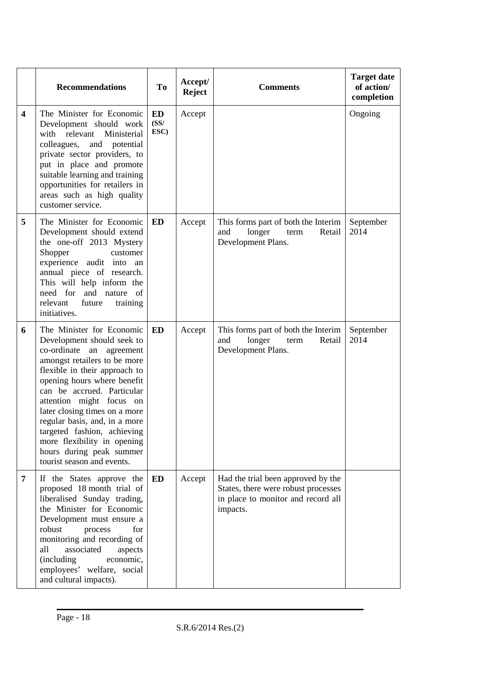|                         | <b>Recommendations</b>                                                                                                                                                                                                                                                                                                                                                                                                                     | <b>To</b>          | Accept/<br><b>Reject</b> | <b>Comments</b>                                                                                                             | <b>Target date</b><br>of action/<br>completion |
|-------------------------|--------------------------------------------------------------------------------------------------------------------------------------------------------------------------------------------------------------------------------------------------------------------------------------------------------------------------------------------------------------------------------------------------------------------------------------------|--------------------|--------------------------|-----------------------------------------------------------------------------------------------------------------------------|------------------------------------------------|
| $\overline{\mathbf{4}}$ | The Minister for Economic<br>Development should work<br>with relevant<br>Ministerial<br>colleagues, and<br>potential<br>private sector providers, to<br>put in place and promote<br>suitable learning and training<br>opportunities for retailers in<br>areas such as high quality<br>customer service.                                                                                                                                    | ED<br>(SS/<br>ESC) | Accept                   |                                                                                                                             | Ongoing                                        |
| 5                       | The Minister for Economic<br>Development should extend<br>the one-off 2013 Mystery<br>Shopper<br>customer<br>experience audit into an<br>annual piece of research.<br>This will help inform the<br>need for and nature of<br>relevant<br>future<br>training<br>initiatives.                                                                                                                                                                | <b>ED</b>          | Accept                   | This forms part of both the Interim<br>and<br>longer<br>Retail<br>term<br>Development Plans.                                | September<br>2014                              |
| 6                       | The Minister for Economic<br>Development should seek to<br>co-ordinate an<br>agreement<br>amongst retailers to be more<br>flexible in their approach to<br>opening hours where benefit<br>can be accrued. Particular<br>attention might focus on<br>later closing times on a more<br>regular basis, and, in a more<br>targeted fashion, achieving<br>more flexibility in opening<br>hours during peak summer<br>tourist season and events. | ED                 | Accept                   | This forms part of both the Interim<br>longer<br>and<br>term<br>Retail<br>Development Plans.                                | September<br>2014                              |
| 7                       | If the States approve the<br>proposed 18 month trial of<br>liberalised Sunday trading,<br>the Minister for Economic<br>Development must ensure a<br>robust<br>process<br>for<br>monitoring and recording of<br>associated<br>all<br>aspects<br>economic,<br>(including)<br>employees' welfare, social<br>and cultural impacts).                                                                                                            | ED                 | Accept                   | Had the trial been approved by the<br>States, there were robust processes<br>in place to monitor and record all<br>impacts. |                                                |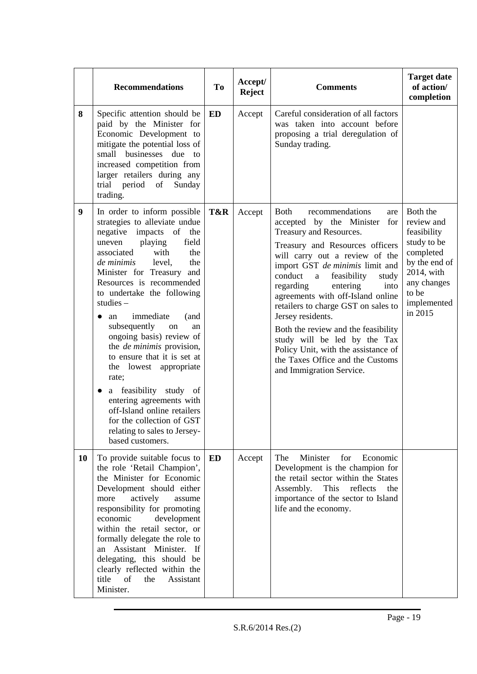|    | <b>Recommendations</b>                                                                                                                                                                                                                                                                                                                                                                                                                                                                                                                                                                                                                                              | <b>To</b> | Accept/<br><b>Reject</b> | <b>Comments</b>                                                                                                                                                                                                                                                                                                                                                                                                                                                                                                                                                     | <b>Target date</b><br>of action/<br>completion                                                                                                     |
|----|---------------------------------------------------------------------------------------------------------------------------------------------------------------------------------------------------------------------------------------------------------------------------------------------------------------------------------------------------------------------------------------------------------------------------------------------------------------------------------------------------------------------------------------------------------------------------------------------------------------------------------------------------------------------|-----------|--------------------------|---------------------------------------------------------------------------------------------------------------------------------------------------------------------------------------------------------------------------------------------------------------------------------------------------------------------------------------------------------------------------------------------------------------------------------------------------------------------------------------------------------------------------------------------------------------------|----------------------------------------------------------------------------------------------------------------------------------------------------|
| 8  | Specific attention should be<br>paid by the Minister for<br>Economic Development to<br>mitigate the potential loss of<br>small businesses due to<br>increased competition from<br>larger retailers during any<br>trial period of<br>Sunday<br>trading.                                                                                                                                                                                                                                                                                                                                                                                                              | <b>ED</b> | Accept                   | Careful consideration of all factors<br>was taken into account before<br>proposing a trial deregulation of<br>Sunday trading.                                                                                                                                                                                                                                                                                                                                                                                                                                       |                                                                                                                                                    |
| 9  | In order to inform possible<br>strategies to alleviate undue<br>negative impacts of the<br>field<br>playing<br>uneven<br>associated<br>with<br>the<br>de minimis<br>the<br>level,<br>Minister for Treasury and<br>Resources is recommended<br>to undertake the following<br>studies $-$<br>immediate<br>(and<br>an<br>subsequently<br>on<br>an<br>ongoing basis) review of<br>the <i>de minimis</i> provision,<br>to ensure that it is set at<br>the lowest appropriate<br>rate;<br>a feasibility study of<br>$\bullet$<br>entering agreements with<br>off-Island online retailers<br>for the collection of GST<br>relating to sales to Jersey-<br>based customers. | T&R       | Accept                   | <b>Both</b><br>recommendations<br>are<br>accepted by the Minister<br>for<br>Treasury and Resources.<br>Treasury and Resources officers<br>will carry out a review of the<br>import GST de minimis limit and<br>conduct<br>feasibility<br>study<br>a<br>regarding<br>entering<br>into<br>agreements with off-Island online<br>retailers to charge GST on sales to<br>Jersey residents.<br>Both the review and the feasibility<br>study will be led by the Tax<br>Policy Unit, with the assistance of<br>the Taxes Office and the Customs<br>and Immigration Service. | Both the<br>review and<br>feasibility<br>study to be<br>completed<br>by the end of<br>2014, with<br>any changes<br>to be<br>implemented<br>in 2015 |
| 10 | To provide suitable focus to<br>the role 'Retail Champion',<br>the Minister for Economic<br>Development should either<br>actively<br>more<br>assume<br>responsibility for promoting<br>economic<br>development<br>within the retail sector, or<br>formally delegate the role to<br>an Assistant Minister. If<br>delegating, this should be<br>clearly reflected within the<br>of<br>title<br>the<br>Assistant<br>Minister.                                                                                                                                                                                                                                          | ED        | Accept                   | The<br>Minister<br>for<br>Economic<br>Development is the champion for<br>the retail sector within the States<br>Assembly.<br>This<br>reflects<br>the<br>importance of the sector to Island<br>life and the economy.                                                                                                                                                                                                                                                                                                                                                 |                                                                                                                                                    |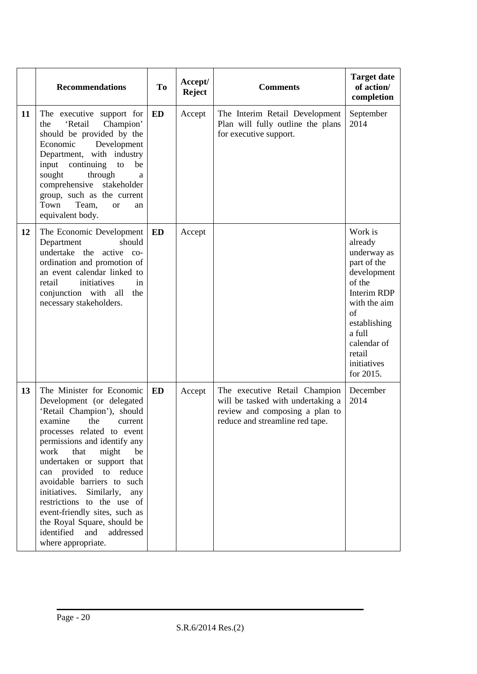|    | <b>Recommendations</b>                                                                                                                                                                                                                                                                                                                                                                                                                                                                       | <b>To</b> | Accept/<br><b>Reject</b> | <b>Comments</b>                                                                                                                         | <b>Target date</b><br>of action/<br>completion                                                                                                                                                       |
|----|----------------------------------------------------------------------------------------------------------------------------------------------------------------------------------------------------------------------------------------------------------------------------------------------------------------------------------------------------------------------------------------------------------------------------------------------------------------------------------------------|-----------|--------------------------|-----------------------------------------------------------------------------------------------------------------------------------------|------------------------------------------------------------------------------------------------------------------------------------------------------------------------------------------------------|
| 11 | The executive support for<br>'Retail<br>Champion'<br>the<br>should be provided by the<br>Economic<br>Development<br>Department, with industry<br>input<br>continuing<br>to<br>be<br>sought<br>through<br>a<br>comprehensive stakeholder<br>group, such as the current<br>Town<br>Team,<br><b>or</b><br>an<br>equivalent body.                                                                                                                                                                | <b>ED</b> | Accept                   | The Interim Retail Development<br>Plan will fully outline the plans<br>for executive support.                                           | September<br>2014                                                                                                                                                                                    |
| 12 | The Economic Development<br>Department<br>should<br>undertake the active co-<br>ordination and promotion of<br>an event calendar linked to<br>retail<br>initiatives<br>in<br>conjunction with all<br>the<br>necessary stakeholders.                                                                                                                                                                                                                                                          | ED        | Accept                   |                                                                                                                                         | Work is<br>already<br>underway as<br>part of the<br>development<br>of the<br><b>Interim RDP</b><br>with the aim<br>of<br>establishing<br>a full<br>calendar of<br>retail<br>initiatives<br>for 2015. |
| 13 | The Minister for Economic<br>Development (or delegated<br>'Retail Champion'), should<br>examine<br>the<br>current<br>processes related to event<br>permissions and identify any<br>that<br>work<br>might<br>be<br>undertaken or support that<br>can provided to reduce<br>avoidable barriers to such<br>Similarly, any<br>initiatives.<br>restrictions to the use of<br>event-friendly sites, such as<br>the Royal Square, should be<br>identified<br>and<br>addressed<br>where appropriate. | <b>ED</b> | Accept                   | The executive Retail Champion<br>will be tasked with undertaking a<br>review and composing a plan to<br>reduce and streamline red tape. | December<br>2014                                                                                                                                                                                     |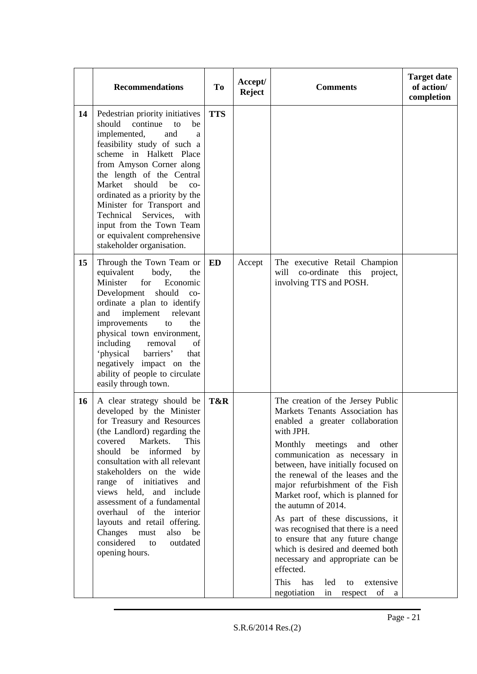|    | <b>Recommendations</b>                                                                                                                                                                                                                                                                                                                                                                                                                                                              | <b>To</b>  | Accept/<br><b>Reject</b> | <b>Comments</b>                                                                                                                                                                                                                                                                                                                                                                                                                                                                                                                                                                                                                                 | <b>Target date</b><br>of action/<br>completion |
|----|-------------------------------------------------------------------------------------------------------------------------------------------------------------------------------------------------------------------------------------------------------------------------------------------------------------------------------------------------------------------------------------------------------------------------------------------------------------------------------------|------------|--------------------------|-------------------------------------------------------------------------------------------------------------------------------------------------------------------------------------------------------------------------------------------------------------------------------------------------------------------------------------------------------------------------------------------------------------------------------------------------------------------------------------------------------------------------------------------------------------------------------------------------------------------------------------------------|------------------------------------------------|
| 14 | Pedestrian priority initiatives<br>should<br>continue<br>be<br>to<br>implemented,<br>and<br>a<br>feasibility study of such a<br>scheme in Halkett Place<br>from Amyson Corner along<br>the length of the Central<br>Market<br>should<br>be<br>$_{\rm CO-}$<br>ordinated as a priority by the<br>Minister for Transport and<br>Technical Services,<br>with<br>input from the Town Team<br>or equivalent comprehensive<br>stakeholder organisation.                                   | <b>TTS</b> |                          |                                                                                                                                                                                                                                                                                                                                                                                                                                                                                                                                                                                                                                                 |                                                |
| 15 | Through the Town Team or<br>equivalent<br>body,<br>the<br>Minister<br>for<br>Economic<br>Development<br>should<br>$_{\rm CO-}$<br>ordinate a plan to identify<br>implement<br>and<br>relevant<br>improvements<br>to<br>the<br>physical town environment,<br>including<br>of<br>removal<br>'physical<br>barriers'<br>that<br>negatively impact on the<br>ability of people to circulate<br>easily through town.                                                                      | ED         | Accept                   | The executive Retail Champion<br>co-ordinate<br>this<br>will<br>project,<br>involving TTS and POSH.                                                                                                                                                                                                                                                                                                                                                                                                                                                                                                                                             |                                                |
| 16 | A clear strategy should be<br>developed by the Minister<br>for Treasury and Resources<br>(the Landlord) regarding the<br>covered<br>Markets.<br>This<br>should be informed<br>by<br>consultation with all relevant<br>stakeholders on the wide<br>range of initiatives and<br>views held, and include<br>assessment of a fundamental<br>overhaul of the interior<br>layouts and retail offering.<br>Changes<br>must<br>also<br>be<br>considered<br>outdated<br>to<br>opening hours. | T&R        |                          | The creation of the Jersey Public<br>Markets Tenants Association has<br>enabled a greater collaboration<br>with JPH.<br>Monthly meetings and<br>other<br>communication as necessary in<br>between, have initially focused on<br>the renewal of the leases and the<br>major refurbishment of the Fish<br>Market roof, which is planned for<br>the autumn of 2014.<br>As part of these discussions, it<br>was recognised that there is a need<br>to ensure that any future change<br>which is desired and deemed both<br>necessary and appropriate can be<br>effected.<br>This has<br>led<br>extensive<br>to<br>negotiation<br>in<br>respect of a |                                                |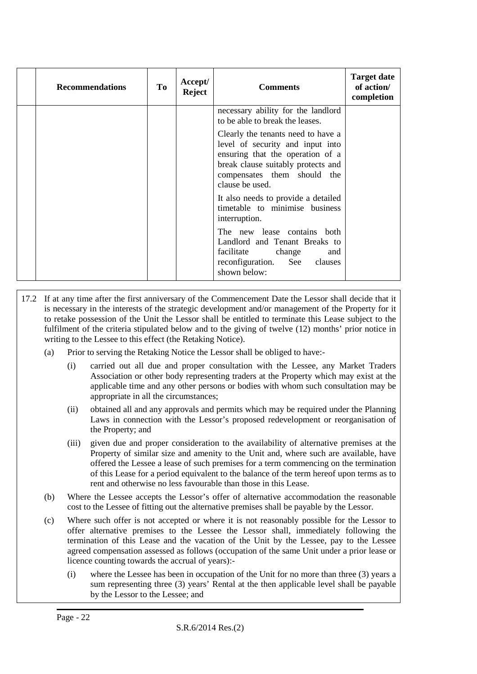| <b>Recommendations</b> | Tо | Accept/<br><b>Reject</b> | <b>Comments</b>                                                                                                                                                                                    | <b>Target date</b><br>of action/<br>completion |
|------------------------|----|--------------------------|----------------------------------------------------------------------------------------------------------------------------------------------------------------------------------------------------|------------------------------------------------|
|                        |    |                          | necessary ability for the landlord<br>to be able to break the leases.                                                                                                                              |                                                |
|                        |    |                          | Clearly the tenants need to have a<br>level of security and input into<br>ensuring that the operation of a<br>break clause suitably protects and<br>compensates them should the<br>clause be used. |                                                |
|                        |    |                          | It also needs to provide a detailed<br>timetable to minimise business<br>interruption.                                                                                                             |                                                |
|                        |    |                          | The new lease contains both<br>Landlord and Tenant Breaks to<br>facilitate<br>change<br>and<br>See<br>reconfiguration.<br>clauses<br>shown below:                                                  |                                                |

- 17.2 If at any time after the first anniversary of the Commencement Date the Lessor shall decide that it is necessary in the interests of the strategic development and/or management of the Property for it to retake possession of the Unit the Lessor shall be entitled to terminate this Lease subject to the fulfilment of the criteria stipulated below and to the giving of twelve (12) months' prior notice in writing to the Lessee to this effect (the Retaking Notice).
	- (a) Prior to serving the Retaking Notice the Lessor shall be obliged to have:-
		- (i) carried out all due and proper consultation with the Lessee, any Market Traders Association or other body representing traders at the Property which may exist at the applicable time and any other persons or bodies with whom such consultation may be appropriate in all the circumstances;
		- (ii) obtained all and any approvals and permits which may be required under the Planning Laws in connection with the Lessor's proposed redevelopment or reorganisation of the Property; and
		- (iii) given due and proper consideration to the availability of alternative premises at the Property of similar size and amenity to the Unit and, where such are available, have offered the Lessee a lease of such premises for a term commencing on the termination of this Lease for a period equivalent to the balance of the term hereof upon terms as to rent and otherwise no less favourable than those in this Lease.
	- (b) Where the Lessee accepts the Lessor's offer of alternative accommodation the reasonable cost to the Lessee of fitting out the alternative premises shall be payable by the Lessor.
	- (c) Where such offer is not accepted or where it is not reasonably possible for the Lessor to offer alternative premises to the Lessee the Lessor shall, immediately following the termination of this Lease and the vacation of the Unit by the Lessee, pay to the Lessee agreed compensation assessed as follows (occupation of the same Unit under a prior lease or licence counting towards the accrual of years):-
		- (i) where the Lessee has been in occupation of the Unit for no more than three (3) years a sum representing three (3) years' Rental at the then applicable level shall be payable by the Lessor to the Lessee; and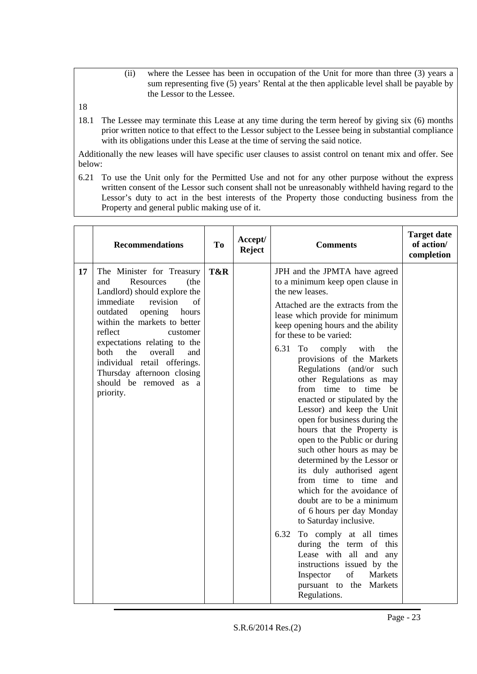- (ii) where the Lessee has been in occupation of the Unit for more than three (3) years a sum representing five (5) years' Rental at the then applicable level shall be payable by the Lessor to the Lessee.
- 18
- 18.1 The Lessee may terminate this Lease at any time during the term hereof by giving six (6) months prior written notice to that effect to the Lessor subject to the Lessee being in substantial compliance with its obligations under this Lease at the time of serving the said notice.

Additionally the new leases will have specific user clauses to assist control on tenant mix and offer. See below:

6.21 To use the Unit only for the Permitted Use and not for any other purpose without the express written consent of the Lessor such consent shall not be unreasonably withheld having regard to the Lessor's duty to act in the best interests of the Property those conducting business from the Property and general public making use of it.

|    | <b>Recommendations</b>                                                                                                                                                                                                                                                                                                                                                                    | <b>To</b> | Accept/<br>Reject | <b>Comments</b>                                                                                                                                                                                                                                                                                                                                                                                                                                                                                                                                                                                                                                                                                                                                                                                                                                                                                                                                                                     | <b>Target date</b><br>of action/<br>completion |
|----|-------------------------------------------------------------------------------------------------------------------------------------------------------------------------------------------------------------------------------------------------------------------------------------------------------------------------------------------------------------------------------------------|-----------|-------------------|-------------------------------------------------------------------------------------------------------------------------------------------------------------------------------------------------------------------------------------------------------------------------------------------------------------------------------------------------------------------------------------------------------------------------------------------------------------------------------------------------------------------------------------------------------------------------------------------------------------------------------------------------------------------------------------------------------------------------------------------------------------------------------------------------------------------------------------------------------------------------------------------------------------------------------------------------------------------------------------|------------------------------------------------|
| 17 | The Minister for Treasury<br>Resources<br>(the<br>and<br>Landlord) should explore the<br>immediate<br>revision<br>$\sigma$ f<br>outdated<br>opening<br>hours<br>within the markets to better<br>reflect<br>customer<br>expectations relating to the<br>both<br>the<br>overall<br>and<br>individual retail offerings.<br>Thursday afternoon closing<br>should be removed as a<br>priority. | T&R       |                   | JPH and the JPMTA have agreed<br>to a minimum keep open clause in<br>the new leases.<br>Attached are the extracts from the<br>lease which provide for minimum<br>keep opening hours and the ability<br>for these to be varied:<br>6.31<br>To<br>with<br>comply<br>the<br>provisions of the Markets<br>Regulations (and/or such<br>other Regulations as may<br>from time to time<br>he<br>enacted or stipulated by the<br>Lessor) and keep the Unit<br>open for business during the<br>hours that the Property is<br>open to the Public or during<br>such other hours as may be<br>determined by the Lessor or<br>its duly authorised agent<br>from time to time and<br>which for the avoidance of<br>doubt are to be a minimum<br>of 6 hours per day Monday<br>to Saturday inclusive.<br>6.32<br>To comply at all times<br>during the term of this<br>Lease with all and any<br>instructions issued by the<br>of<br>Markets<br>Inspector<br>pursuant to the Markets<br>Regulations. |                                                |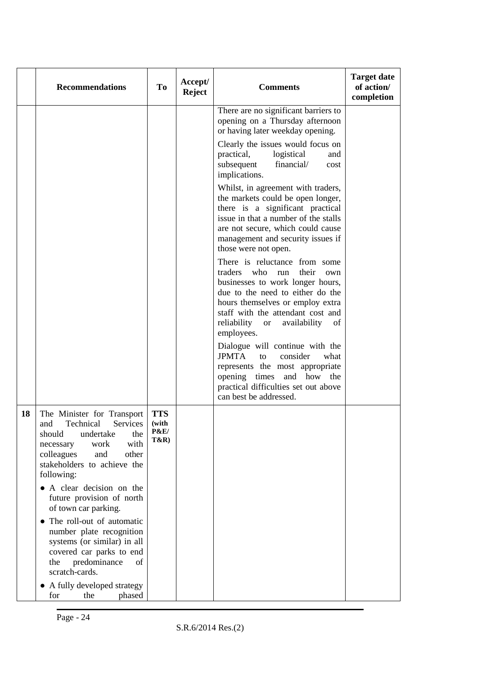|    | <b>Recommendations</b>                                                                                                                                                                                                                                                                                                                                                                                                                                                                                       | To                                                        | Accept/<br><b>Reject</b> | <b>Comments</b>                                                                                                                                                                                                                                                               | <b>Target date</b><br>of action/<br>completion |
|----|--------------------------------------------------------------------------------------------------------------------------------------------------------------------------------------------------------------------------------------------------------------------------------------------------------------------------------------------------------------------------------------------------------------------------------------------------------------------------------------------------------------|-----------------------------------------------------------|--------------------------|-------------------------------------------------------------------------------------------------------------------------------------------------------------------------------------------------------------------------------------------------------------------------------|------------------------------------------------|
|    |                                                                                                                                                                                                                                                                                                                                                                                                                                                                                                              |                                                           |                          | There are no significant barriers to<br>opening on a Thursday afternoon<br>or having later weekday opening.                                                                                                                                                                   |                                                |
|    |                                                                                                                                                                                                                                                                                                                                                                                                                                                                                                              |                                                           |                          | Clearly the issues would focus on<br>practical,<br>logistical<br>and<br>subsequent<br>financial/<br>cost<br>implications.                                                                                                                                                     |                                                |
|    |                                                                                                                                                                                                                                                                                                                                                                                                                                                                                                              |                                                           |                          | Whilst, in agreement with traders,<br>the markets could be open longer,<br>there is a significant practical<br>issue in that a number of the stalls<br>are not secure, which could cause<br>management and security issues if<br>those were not open.                         |                                                |
|    |                                                                                                                                                                                                                                                                                                                                                                                                                                                                                                              |                                                           |                          | There is reluctance from some<br>traders<br>who<br>run<br>their<br>own<br>businesses to work longer hours,<br>due to the need to either do the<br>hours themselves or employ extra<br>staff with the attendant cost and<br>reliability or<br>availability<br>of<br>employees. |                                                |
|    |                                                                                                                                                                                                                                                                                                                                                                                                                                                                                                              |                                                           |                          | Dialogue will continue with the<br><b>JPMTA</b><br>to<br>consider<br>what<br>represents the most appropriate<br>opening times and how the<br>practical difficulties set out above<br>can best be addressed.                                                                   |                                                |
| 18 | The Minister for Transport<br>Technical Services<br>and<br>undertake<br>the<br>should<br>with<br>work<br>necessary<br>other<br>colleagues<br>and<br>stakeholders to achieve the<br>following:<br>• A clear decision on the<br>future provision of north<br>of town car parking.<br>• The roll-out of automatic<br>number plate recognition<br>systems (or similar) in all<br>covered car parks to end<br>predominance<br>the<br>οf<br>scratch-cards.<br>• A fully developed strategy<br>phased<br>for<br>the | <b>TTS</b><br>(with<br><b>P&amp;E/</b><br><b>T&amp;R)</b> |                          |                                                                                                                                                                                                                                                                               |                                                |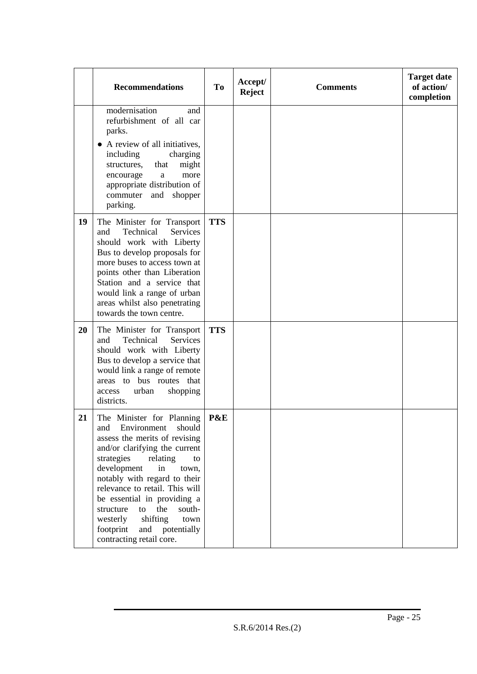|    | <b>Recommendations</b>                                                                                                                                                                                                                                                                                                                                                                                                     | To         | Accept/<br><b>Reject</b> | <b>Comments</b> | <b>Target date</b><br>of action/<br>completion |
|----|----------------------------------------------------------------------------------------------------------------------------------------------------------------------------------------------------------------------------------------------------------------------------------------------------------------------------------------------------------------------------------------------------------------------------|------------|--------------------------|-----------------|------------------------------------------------|
|    | modernisation<br>and<br>refurbishment of all car<br>parks.<br>• A review of all initiatives,<br>including<br>charging<br>might<br>structures,<br>that<br>more<br>encourage<br>$\rm{a}$<br>appropriate distribution of<br>commuter<br>and<br>shopper<br>parking.                                                                                                                                                            |            |                          |                 |                                                |
| 19 | The Minister for Transport<br>Technical<br>and<br>Services<br>should work with Liberty<br>Bus to develop proposals for<br>more buses to access town at<br>points other than Liberation<br>Station and a service that<br>would link a range of urban<br>areas whilst also penetrating<br>towards the town centre.                                                                                                           | <b>TTS</b> |                          |                 |                                                |
| 20 | The Minister for Transport<br>Technical<br>Services<br>and<br>should work with Liberty<br>Bus to develop a service that<br>would link a range of remote<br>areas to bus routes that<br>urban<br>access<br>shopping<br>districts.                                                                                                                                                                                           | <b>TTS</b> |                          |                 |                                                |
| 21 | The Minister for Planning<br>Environment<br>should<br>and<br>assess the merits of revising<br>and/or clarifying the current<br>strategies<br>relating<br>to<br>development<br>in<br>town,<br>notably with regard to their<br>relevance to retail. This will<br>be essential in providing a<br>the<br>south-<br>structure<br>to<br>shifting<br>westerly<br>town<br>footprint<br>and potentially<br>contracting retail core. | P&E        |                          |                 |                                                |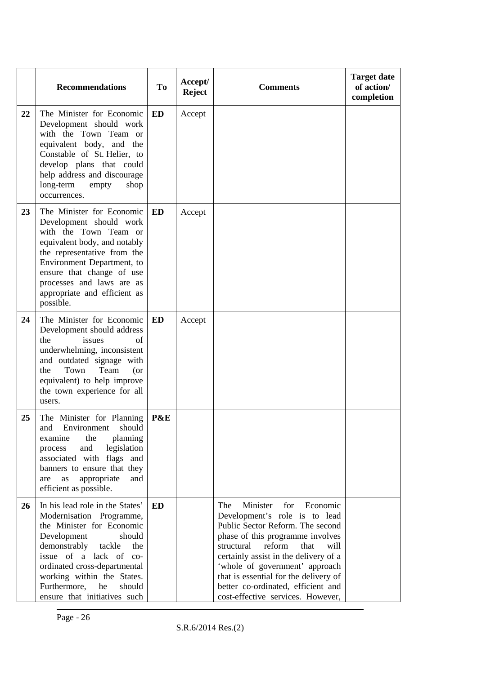|    | <b>Recommendations</b>                                                                                                                                                                                                                                                                                     | <b>To</b> | Accept/<br><b>Reject</b> | <b>Comments</b>                                                                                                                                                                                                                                                                                                                                                                    | <b>Target date</b><br>of action/<br>completion |
|----|------------------------------------------------------------------------------------------------------------------------------------------------------------------------------------------------------------------------------------------------------------------------------------------------------------|-----------|--------------------------|------------------------------------------------------------------------------------------------------------------------------------------------------------------------------------------------------------------------------------------------------------------------------------------------------------------------------------------------------------------------------------|------------------------------------------------|
| 22 | The Minister for Economic<br>Development should work<br>with the Town Team or<br>equivalent body, and the<br>Constable of St. Helier, to<br>develop plans that could<br>help address and discourage<br>long-term<br>empty<br>shop<br>occurrences.                                                          | <b>ED</b> | Accept                   |                                                                                                                                                                                                                                                                                                                                                                                    |                                                |
| 23 | The Minister for Economic<br>Development should work<br>with the Town Team or<br>equivalent body, and notably<br>the representative from the<br>Environment Department, to<br>ensure that change of use<br>processes and laws are as<br>appropriate and efficient as<br>possible.                          | <b>ED</b> | Accept                   |                                                                                                                                                                                                                                                                                                                                                                                    |                                                |
| 24 | The Minister for Economic<br>Development should address<br>issues<br>the<br>of<br>underwhelming, inconsistent<br>and outdated signage with<br>Town<br>Team<br>the<br>(or<br>equivalent) to help improve<br>the town experience for all<br>users.                                                           | ED        | Accept                   |                                                                                                                                                                                                                                                                                                                                                                                    |                                                |
| 25 | The Minister for Planning<br>Environment<br>should<br>and<br>the<br>planning<br>examine<br>and<br>legislation<br>process<br>associated with flags and<br>banners to ensure that they<br>appropriate<br>and<br>as<br>are<br>efficient as possible.                                                          | P&E       |                          |                                                                                                                                                                                                                                                                                                                                                                                    |                                                |
| 26 | In his lead role in the States'<br>Modernisation Programme,<br>the Minister for Economic<br>Development<br>should<br>tackle<br>demonstrably<br>the<br>issue of a lack of co-<br>ordinated cross-departmental<br>working within the States.<br>Furthermore,<br>he<br>should<br>ensure that initiatives such | <b>ED</b> |                          | The<br>Minister<br>for<br>Economic<br>Development's role is to lead<br>Public Sector Reform. The second<br>phase of this programme involves<br>structural<br>reform<br>that<br>will<br>certainly assist in the delivery of a<br>'whole of government' approach<br>that is essential for the delivery of<br>better co-ordinated, efficient and<br>cost-effective services. However, |                                                |